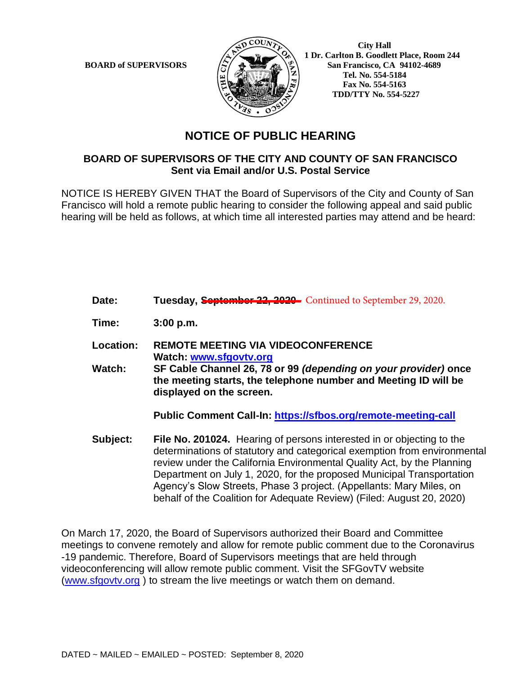

 **City Hall 1 Dr. Carlton B. Goodlett Place, Room 244 BOARD of SUPERVISORS**  $\left(\frac{S}{I}\right)$   $\oplus$   $\left(\frac{S}{I}\right)$  San Francisco, CA 94102-4689  **Tel. No. 554-5184 Fax No. 554-5163 TDD/TTY No. 554-5227**

## **NOTICE OF PUBLIC HEARING**

## **BOARD OF SUPERVISORS OF THE CITY AND COUNTY OF SAN FRANCISCO Sent via Email and/or U.S. Postal Service**

NOTICE IS HEREBY GIVEN THAT the Board of Supervisors of the City and County of San Francisco will hold a remote public hearing to consider the following appeal and said public hearing will be held as follows, at which time all interested parties may attend and be heard:

- Date: Tuesday, **September 22, 2020** Continued to September 29, 2020. **Time: 3:00 p.m.**
- **Location: REMOTE MEETING VIA VIDEOCONFERENCE Watch: www.sfgovtv.org**
- **Watch: SF Cable Channel 26, 78 or 99** *(depending on your provider)* **once the meeting starts, the telephone number and Meeting ID will be displayed on the screen.**

**Public Comment Call-In: https://sfbos.org/remote-meeting-call**

**Subject: File No. 201024.** Hearing of persons interested in or objecting to the determinations of statutory and categorical exemption from environmental review under the California Environmental Quality Act, by the Planning Department on July 1, 2020, for the proposed Municipal Transportation Agency's Slow Streets, Phase 3 project. (Appellants: Mary Miles, on behalf of the Coalition for Adequate Review) (Filed: August 20, 2020)

On March 17, 2020, the Board of Supervisors authorized their Board and Committee meetings to convene remotely and allow for remote public comment due to the Coronavirus -19 pandemic. Therefore, Board of Supervisors meetings that are held through videoconferencing will allow remote public comment. Visit the SFGovTV website (www.sfgovtv.org ) to stream the live meetings or watch them on demand.